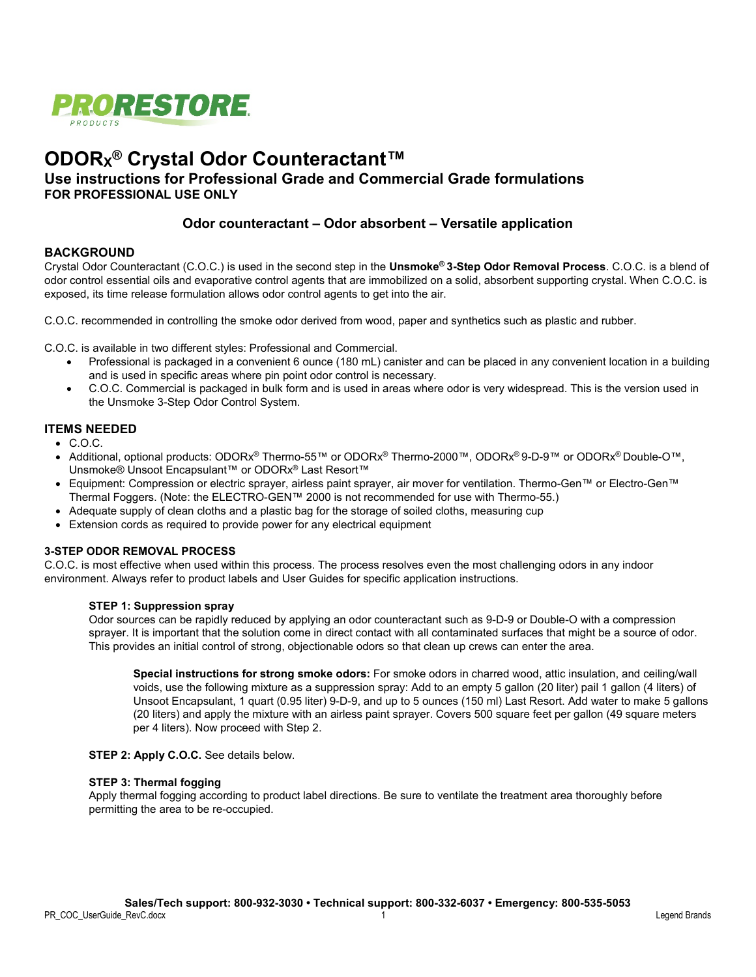

# **ODORX® Crystal Odor Counteractant™**

# **Use instructions for Professional Grade and Commercial Grade formulations FOR PROFESSIONAL USE ONLY**

# **Odor counteractant – Odor absorbent – Versatile application**

## **BACKGROUND**

Crystal Odor Counteractant (C.O.C.) is used in the second step in the **Unsmoke® 3-Step Odor Removal Process**. C.O.C. is a blend of odor control essential oils and evaporative control agents that are immobilized on a solid, absorbent supporting crystal. When C.O.C. is exposed, its time release formulation allows odor control agents to get into the air.

C.O.C. recommended in controlling the smoke odor derived from wood, paper and synthetics such as plastic and rubber.

C.O.C. is available in two different styles: Professional and Commercial.

- Professional is packaged in a convenient 6 ounce (180 mL) canister and can be placed in any convenient location in a building and is used in specific areas where pin point odor control is necessary.
- C.O.C. Commercial is packaged in bulk form and is used in areas where odor is very widespread. This is the version used in the Unsmoke 3-Step Odor Control System.

## **ITEMS NEEDED**

- C.O.C.
- Additional, optional products: ODORx® Thermo-55™ or ODORx® Thermo-2000™, ODORx® 9-D-9™ or ODORx® Double-O™, Unsmoke® Unsoot Encapsulant™ or ODORx® Last Resort™
- Equipment: Compression or electric sprayer, airless paint sprayer, air mover for ventilation. Thermo-Gen™ or Electro-Gen™ Thermal Foggers. (Note: the ELECTRO-GEN™ 2000 is not recommended for use with Thermo-55.)
- Adequate supply of clean cloths and a plastic bag for the storage of soiled cloths, measuring cup
- Extension cords as required to provide power for any electrical equipment

#### **3-STEP ODOR REMOVAL PROCESS**

C.O.C. is most effective when used within this process. The process resolves even the most challenging odors in any indoor environment. Always refer to product labels and User Guides for specific application instructions.

#### **STEP 1: Suppression spray**

Odor sources can be rapidly reduced by applying an odor counteractant such as 9-D-9 or Double-O with a compression sprayer. It is important that the solution come in direct contact with all contaminated surfaces that might be a source of odor. This provides an initial control of strong, objectionable odors so that clean up crews can enter the area.

**Special instructions for strong smoke odors:** For smoke odors in charred wood, attic insulation, and ceiling/wall voids, use the following mixture as a suppression spray: Add to an empty 5 gallon (20 liter) pail 1 gallon (4 liters) of Unsoot Encapsulant, 1 quart (0.95 liter) 9-D-9, and up to 5 ounces (150 ml) Last Resort. Add water to make 5 gallons (20 liters) and apply the mixture with an airless paint sprayer. Covers 500 square feet per gallon (49 square meters per 4 liters). Now proceed with Step 2.

**STEP 2: Apply C.O.C.** See details below.

#### **STEP 3: Thermal fogging**

Apply thermal fogging according to product label directions. Be sure to ventilate the treatment area thoroughly before permitting the area to be re-occupied.